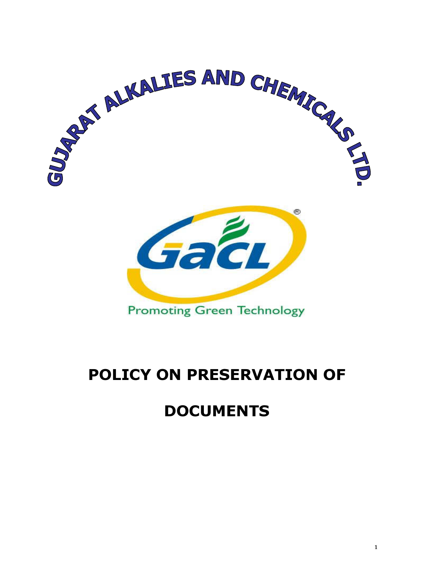

# POLICY ON PRESERVATION OF

## DOCUMENTS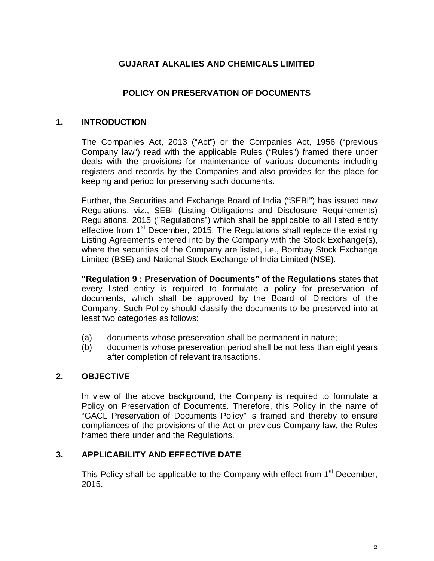### **GUJARAT ALKALIES AND CHEMICALS LIMITED**

#### **POLICY ON PRESERVATION OF DOCUMENTS**

#### **1. INTRODUCTION**

The Companies Act, 2013 ("Act") or the Companies Act, 1956 ("previous Company law") read with the applicable Rules ("Rules") framed there under deals with the provisions for maintenance of various documents including registers and records by the Companies and also provides for the place for keeping and period for preserving such documents.

Further, the Securities and Exchange Board of India ("SEBI") has issued new Regulations, viz., SEBI (Listing Obligations and Disclosure Requirements) Regulations, 2015 ("Regulations") which shall be applicable to all listed entity effective from 1<sup>st</sup> December, 2015. The Regulations shall replace the existing Listing Agreements entered into by the Company with the Stock Exchange(s), where the securities of the Company are listed, i.e., Bombay Stock Exchange Limited (BSE) and National Stock Exchange of India Limited (NSE).

**"Regulation 9 : Preservation of Documents" of the Regulations** states that every listed entity is required to formulate a policy for preservation of documents, which shall be approved by the Board of Directors of the Company. Such Policy should classify the documents to be preserved into at least two categories as follows:

- (a) documents whose preservation shall be permanent in nature;
- (b) documents whose preservation period shall be not less than eight years after completion of relevant transactions.

#### **2. OBJECTIVE**

In view of the above background, the Company is required to formulate a Policy on Preservation of Documents. Therefore, this Policy in the name of "GACL Preservation of Documents Policy" is framed and thereby to ensure compliances of the provisions of the Act or previous Company law, the Rules framed there under and the Regulations.

#### **3. APPLICABILITY AND EFFECTIVE DATE**

This Policy shall be applicable to the Company with effect from 1<sup>st</sup> December, 2015.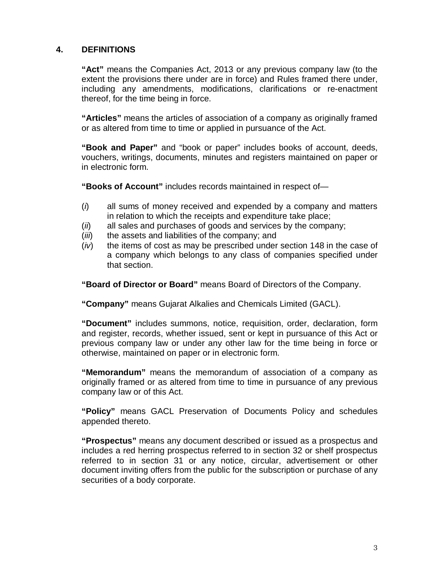#### **4. DEFINITIONS**

**"Act"** means the Companies Act, 2013 or any previous company law (to the extent the provisions there under are in force) and Rules framed there under, including any amendments, modifications, clarifications or re-enactment thereof, for the time being in force.

**"Articles"** means the articles of association of a company as originally framed or as altered from time to time or applied in pursuance of the Act.

**"Book and Paper"** and "book or paper" includes books of account, deeds, vouchers, writings, documents, minutes and registers maintained on paper or in electronic form.

**"Books of Account"** includes records maintained in respect of—

- $(i)$  all sums of money received and expended by a company and matters in relation to which the receipts and expenditure take place;
- (*ii*) all sales and purchases of goods and services by the company;
- (*iii*) the assets and liabilities of the company; and
- $(iv)$  the items of cost as may be prescribed under section 148 in the case of a company which belongs to any class of companies specified under that section.

**"Board of Director or Board"** means Board of Directors of the Company.

**"Company"** means Gujarat Alkalies and Chemicals Limited (GACL).

**"Document"** includes summons, notice, requisition, order, declaration, form and register, records, whether issued, sent or kept in pursuance of this Act or previous company law or under any other law for the time being in force or otherwise, maintained on paper or in electronic form.

**"Memorandum"** means the memorandum of association of a company as originally framed or as altered from time to time in pursuance of any previous company law or of this Act.

**"Policy"** means GACL Preservation of Documents Policy and schedules appended thereto.

**"Prospectus"** means any document described or issued as a prospectus and includes a red herring prospectus referred to in section 32 or shelf prospectus referred to in section 31 or any notice, circular, advertisement or other document inviting offers from the public for the subscription or purchase of any securities of a body corporate.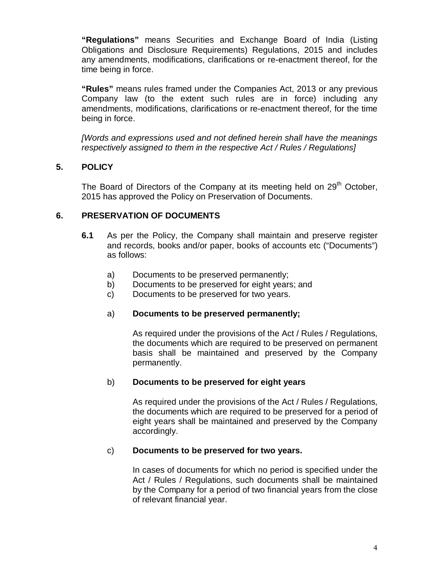**"Regulations"** means Securities and Exchange Board of India (Listing Obligations and Disclosure Requirements) Regulations, 2015 and includes any amendments, modifications, clarifications or re-enactment thereof, for the time being in force.

**"Rules"** means rules framed under the Companies Act, 2013 or any previous Company law (to the extent such rules are in force) including any amendments, modifications, clarifications or re-enactment thereof, for the time being in force.

[Words and expressions used and not defined herein shall have the meanings respectively assigned to them in the respective Act / Rules / Regulations]

#### **5. POLICY**

The Board of Directors of the Company at its meeting held on 29<sup>th</sup> October, 2015 has approved the Policy on Preservation of Documents.

#### **6. PRESERVATION OF DOCUMENTS**

- **6.1** As per the Policy, the Company shall maintain and preserve register and records, books and/or paper, books of accounts etc ("Documents") as follows:
	- a) Documents to be preserved permanently;
	- b) Documents to be preserved for eight years; and
	- c) Documents to be preserved for two years.

#### a) **Documents to be preserved permanently;**

As required under the provisions of the Act / Rules / Regulations, the documents which are required to be preserved on permanent basis shall be maintained and preserved by the Company permanently.

#### b) **Documents to be preserved for eight years**

As required under the provisions of the Act / Rules / Regulations, the documents which are required to be preserved for a period of eight years shall be maintained and preserved by the Company accordingly.

#### c) **Documents to be preserved for two years.**

In cases of documents for which no period is specified under the Act / Rules / Regulations, such documents shall be maintained by the Company for a period of two financial years from the close of relevant financial year.